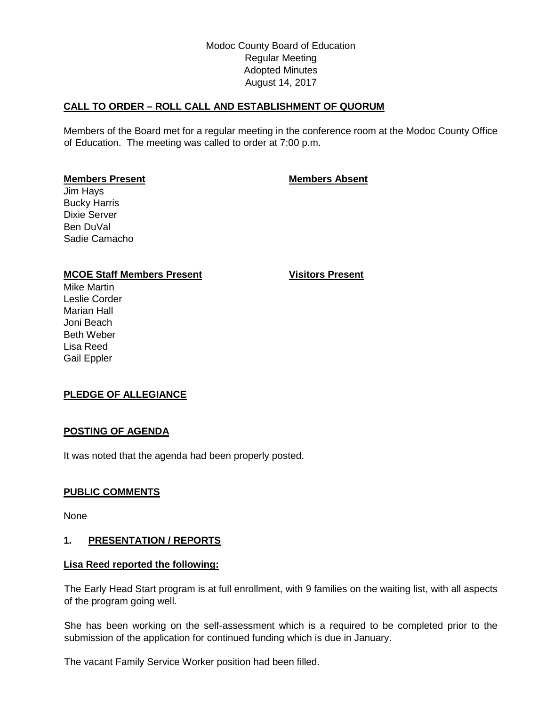# Modoc County Board of Education Regular Meeting Adopted Minutes August 14, 2017

# **CALL TO ORDER – ROLL CALL AND ESTABLISHMENT OF QUORUM**

Members of the Board met for a regular meeting in the conference room at the Modoc County Office of Education. The meeting was called to order at 7:00 p.m.

## **Members Present Members Absent**

Jim Hays Bucky Harris Dixie Server Ben DuVal Sadie Camacho

# **MCOE Staff Members Present Visitors Present**

Mike Martin Leslie Corder Marian Hall Joni Beach Beth Weber Lisa Reed Gail Eppler

## **PLEDGE OF ALLEGIANCE**

## **POSTING OF AGENDA**

It was noted that the agenda had been properly posted.

## **PUBLIC COMMENTS**

None

## **1. PRESENTATION / REPORTS**

#### **Lisa Reed reported the following:**

The Early Head Start program is at full enrollment, with 9 families on the waiting list, with all aspects of the program going well.

She has been working on the self-assessment which is a required to be completed prior to the submission of the application for continued funding which is due in January.

The vacant Family Service Worker position had been filled.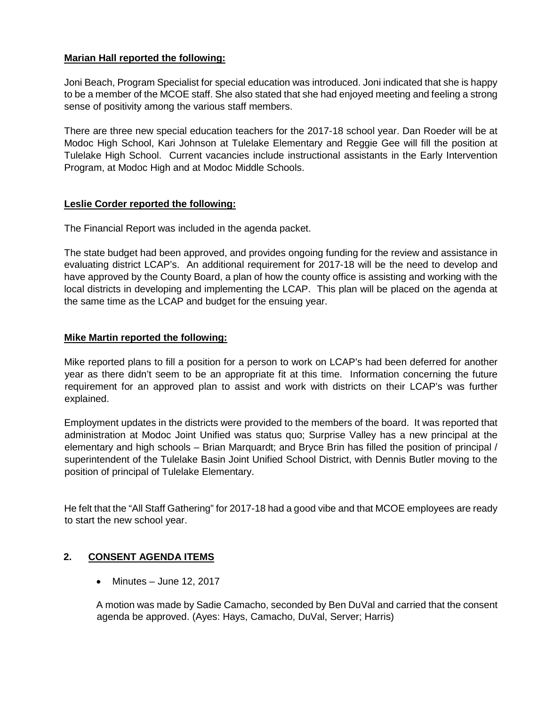# **Marian Hall reported the following:**

Joni Beach, Program Specialist for special education was introduced. Joni indicated that she is happy to be a member of the MCOE staff. She also stated that she had enjoyed meeting and feeling a strong sense of positivity among the various staff members.

There are three new special education teachers for the 2017-18 school year. Dan Roeder will be at Modoc High School, Kari Johnson at Tulelake Elementary and Reggie Gee will fill the position at Tulelake High School. Current vacancies include instructional assistants in the Early Intervention Program, at Modoc High and at Modoc Middle Schools.

# **Leslie Corder reported the following:**

The Financial Report was included in the agenda packet.

The state budget had been approved, and provides ongoing funding for the review and assistance in evaluating district LCAP's. An additional requirement for 2017-18 will be the need to develop and have approved by the County Board, a plan of how the county office is assisting and working with the local districts in developing and implementing the LCAP. This plan will be placed on the agenda at the same time as the LCAP and budget for the ensuing year.

## **Mike Martin reported the following:**

Mike reported plans to fill a position for a person to work on LCAP's had been deferred for another year as there didn't seem to be an appropriate fit at this time. Information concerning the future requirement for an approved plan to assist and work with districts on their LCAP's was further explained.

Employment updates in the districts were provided to the members of the board. It was reported that administration at Modoc Joint Unified was status quo; Surprise Valley has a new principal at the elementary and high schools – Brian Marquardt; and Bryce Brin has filled the position of principal / superintendent of the Tulelake Basin Joint Unified School District, with Dennis Butler moving to the position of principal of Tulelake Elementary.

He felt that the "All Staff Gathering" for 2017-18 had a good vibe and that MCOE employees are ready to start the new school year.

# **2. CONSENT AGENDA ITEMS**

• Minutes – June 12, 2017

A motion was made by Sadie Camacho, seconded by Ben DuVal and carried that the consent agenda be approved. (Ayes: Hays, Camacho, DuVal, Server; Harris)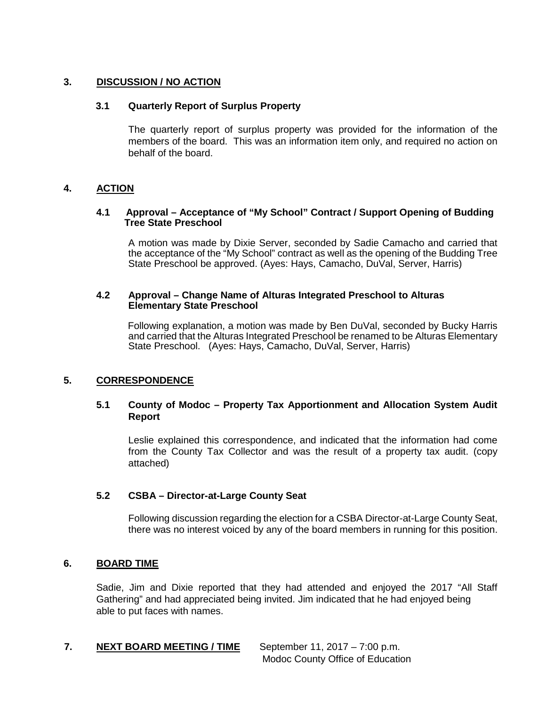## **3. DISCUSSION / NO ACTION**

#### **3.1 Quarterly Report of Surplus Property**

The quarterly report of surplus property was provided for the information of the members of the board. This was an information item only, and required no action on behalf of the board.

## **4. ACTION**

#### **4.1 Approval – Acceptance of "My School" Contract / Support Opening of Budding Tree State Preschool**

A motion was made by Dixie Server, seconded by Sadie Camacho and carried that the acceptance of the "My School" contract as well as the opening of the Budding Tree State Preschool be approved. (Ayes: Hays, Camacho, DuVal, Server, Harris)

#### **4.2 Approval – Change Name of Alturas Integrated Preschool to Alturas Elementary State Preschool**

Following explanation, a motion was made by Ben DuVal, seconded by Bucky Harris and carried that the Alturas Integrated Preschool be renamed to be Alturas Elementary State Preschool. (Ayes: Hays, Camacho, DuVal, Server, Harris)

## **5. CORRESPONDENCE**

## **5.1 County of Modoc – Property Tax Apportionment and Allocation System Audit Report**

Leslie explained this correspondence, and indicated that the information had come from the County Tax Collector and was the result of a property tax audit. (copy attached)

## **5.2 CSBA – Director-at-Large County Seat**

Following discussion regarding the election for a CSBA Director-at-Large County Seat, there was no interest voiced by any of the board members in running for this position.

#### **6. BOARD TIME**

Sadie, Jim and Dixie reported that they had attended and enjoyed the 2017 "All Staff Gathering" and had appreciated being invited. Jim indicated that he had enjoyed being able to put faces with names.

## **7. NEXT BOARD MEETING / TIME** September 11, 2017 – 7:00 p.m.

Modoc County Office of Education